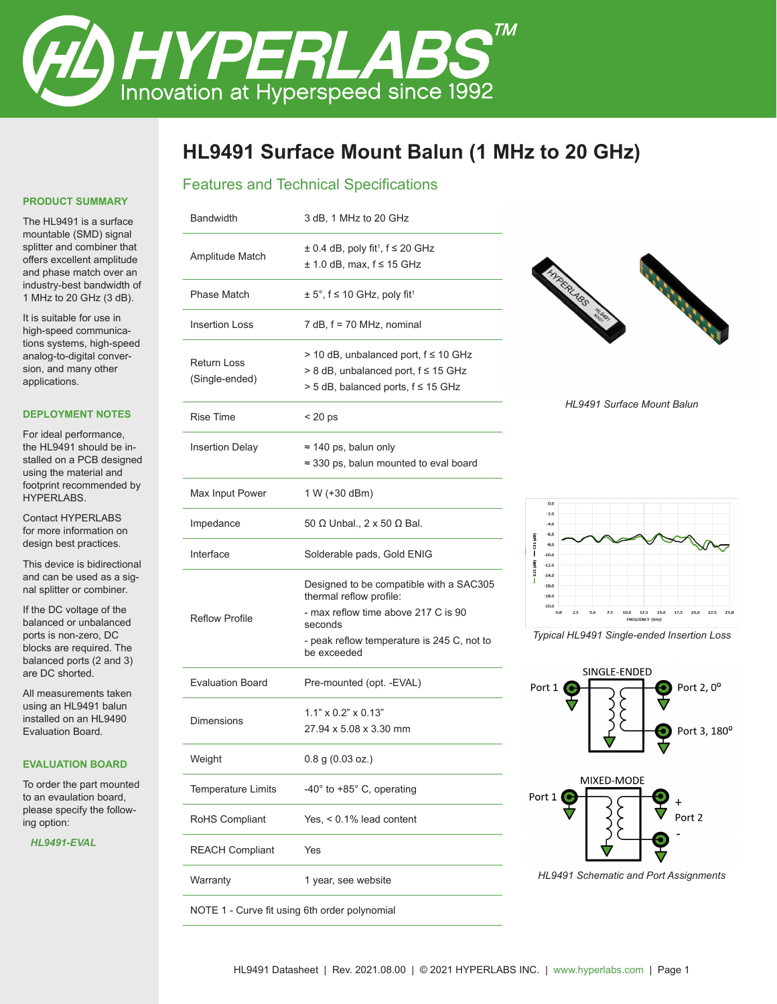

# **HL9491 Surface Mount Balun (1 MHz to 20 GHz)**

# Features and Technical Specifications

#### **PRODUCT SUMMARY**

The HL9491 is a surface mountable (SMD) signal splitter and combiner that offers excellent amplitude and phase match over an industry-best bandwidth of 1 MHz to 20 GHz (3 dB).

It is suitable for use in high-speed communications systems, high-speed analog-to-digital conversion, and many other applications.

#### **DEPLOYMENT NOTES**

For ideal performance, the HL9491 should be installed on a PCB designed using the material and footprint recommended by HYPERLABS.

Contact HYPERLABS for more information on design best practices.

This device is bidirectional and can be used as a signal splitter or combiner.

If the DC voltage of the balanced or unbalanced ports is non-zero, DC blocks are required. The balanced ports (2 and 3) are DC shorted.

All measurements taken using an HL9491 balun installed on an HL9490 Evaluation Board.

#### **EVALUATION BOARD**

To order the part mounted to an evaulation board, please specify the following option:

*HL9491-EVAL*

| 3 dB, 1 MHz to 20 GHz                                                                                                    |
|--------------------------------------------------------------------------------------------------------------------------|
| $\pm$ 0.4 dB, poly fit <sup>1</sup> , f $\leq$ 20 GHz<br>$\pm$ 1.0 dB, max, f $\leq$ 15 GHz                              |
| $\pm$ 5°, f $\leq$ 10 GHz, poly fit <sup>1</sup>                                                                         |
| $7$ dB, $f = 70$ MHz, nominal                                                                                            |
| > 10 dB, unbalanced port, f ≤ 10 GHz<br>$> 8$ dB, unbalanced port, f $\leq 15$ GHz<br>> 5 dB, balanced ports, f ≤ 15 GHz |
| $< 20$ ps                                                                                                                |
| $\approx$ 140 ps, balun only<br>$\approx$ 330 ps, balun mounted to eval board                                            |
| 1 W (+30 dBm)                                                                                                            |
| 50 Ω Unbal., 2 x 50 Ω Bal.                                                                                               |
| Solderable pads, Gold ENIG                                                                                               |
| Designed to be compatible with a SAC305<br>thermal reflow profile:                                                       |
| - max reflow time above 217 C is 90<br>seconds                                                                           |
| - peak reflow temperature is 245 C, not to<br>be exceeded                                                                |
| Pre-mounted (opt. - EVAL)                                                                                                |
| $1.1" \times 0.2" \times 0.13"$<br>27.94 x 5.08 x 3.30 mm                                                                |
| $0.8$ g $(0.03$ oz.)                                                                                                     |
| -40° to +85° C, operating                                                                                                |
| Yes, $< 0.1\%$ lead content                                                                                              |
| Yes                                                                                                                      |
| 1 year, see website                                                                                                      |
|                                                                                                                          |

NOTE 1 - Curve fit using 6th order polynomial



*HL9491 Surface Mount Balun*



*Typical HL9491 Single-ended Insertion Loss*



*HL9491 Schematic and Port Assignments*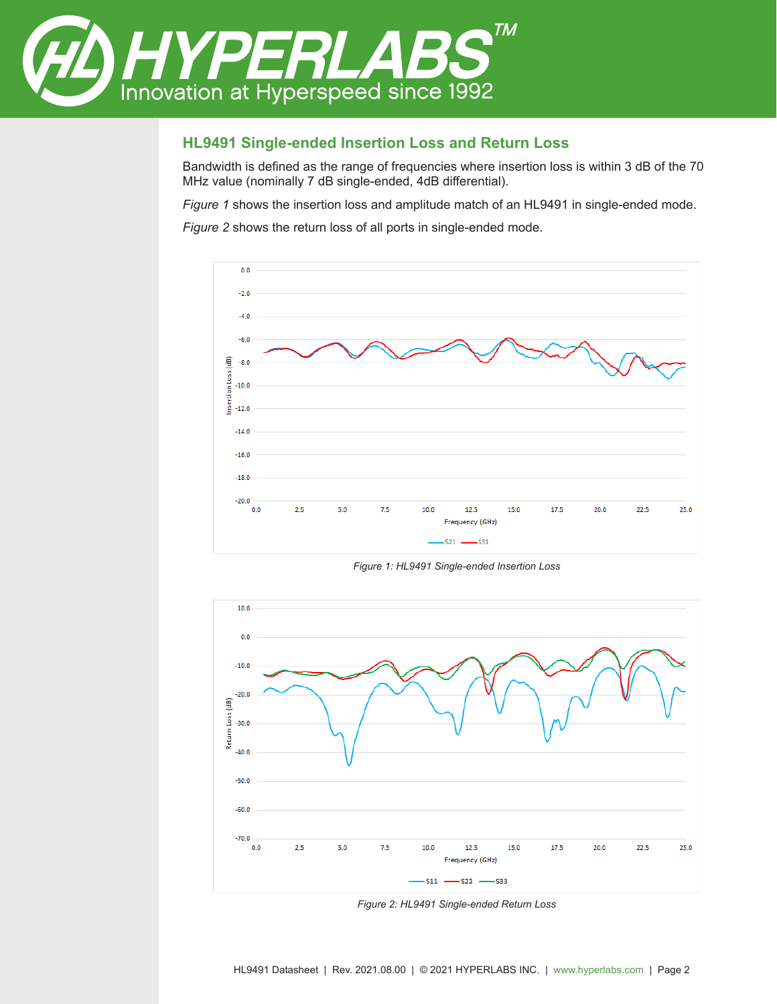

#### **HL9491 Single-ended Insertion Loss and Return Loss**

Bandwidth is defined as the range of frequencies where insertion loss is within 3 dB of the 70 MHz value (nominally 7 dB single-ended, 4dB differential).

*Figure 1* shows the insertion loss and amplitude match of an HL9491 in single-ended mode.

*Figure 2* shows the return loss of all ports in single-ended mode.



*Figure 1: HL9491 Single-ended Insertion Loss*



*Figure 2: HL9491 Single-ended Return Loss*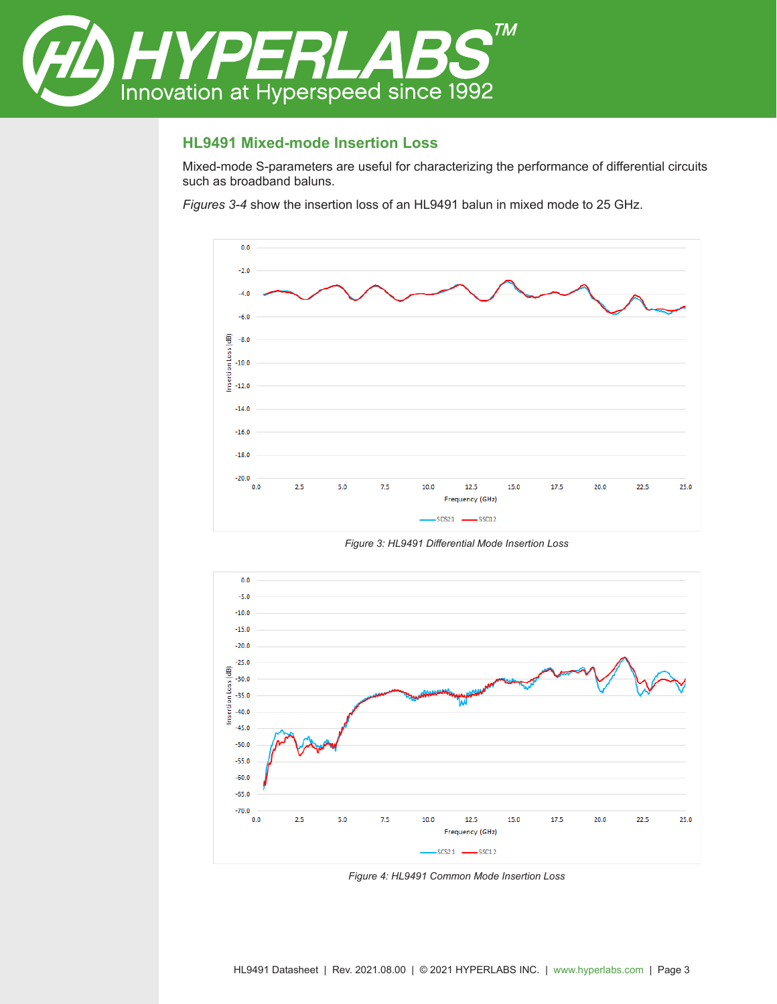

## **HL9491 Mixed-mode Insertion Loss**

Mixed-mode S-parameters are useful for characterizing the performance of differential circuits such as broadband baluns.

*Figures 3-4* show the insertion loss of an HL9491 balun in mixed mode to 25 GHz.



*Figure 3: HL9491 Differential Mode Insertion Loss*



*Figure 4: HL9491 Common Mode Insertion Loss*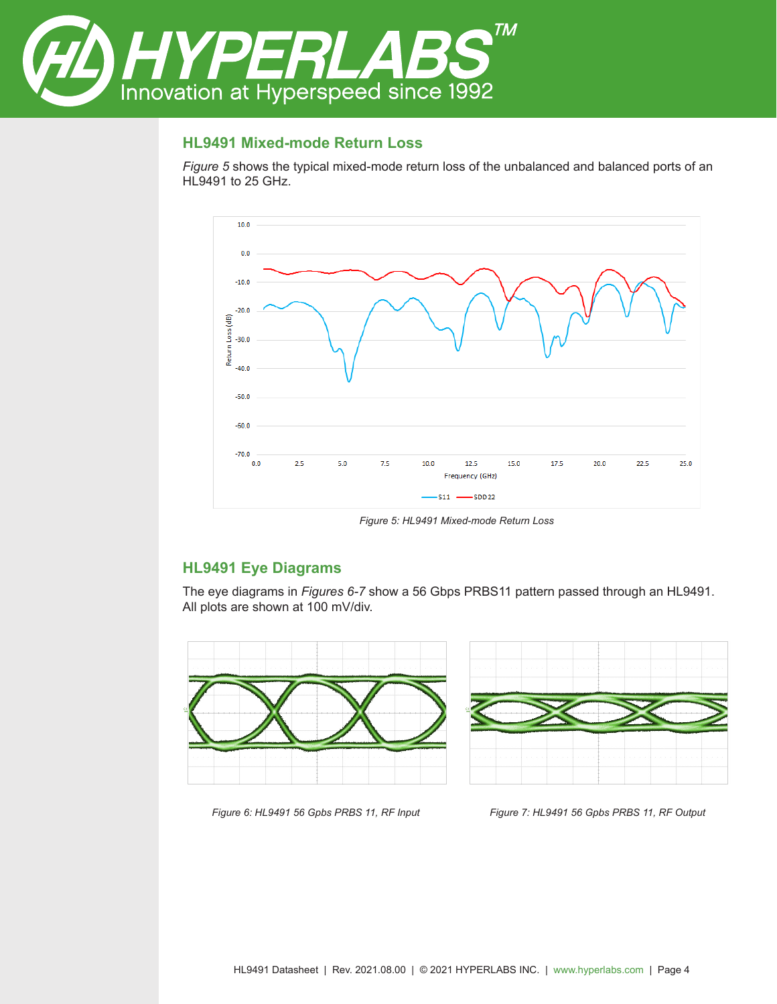

## **HL9491 Mixed-mode Return Loss**

*Figure 5* shows the typical mixed-mode return loss of the unbalanced and balanced ports of an HL9491 to 25 GHz.



*Figure 5: HL9491 Mixed-mode Return Loss*

## **HL9491 Eye Diagrams**

The eye diagrams in *Figures 6-7* show a 56 Gbps PRBS11 pattern passed through an HL9491. All plots are shown at 100 mV/div.





*Figure 6: HL9491 56 Gpbs PRBS 11, RF Input Figure 7: HL9491 56 Gpbs PRBS 11, RF Output*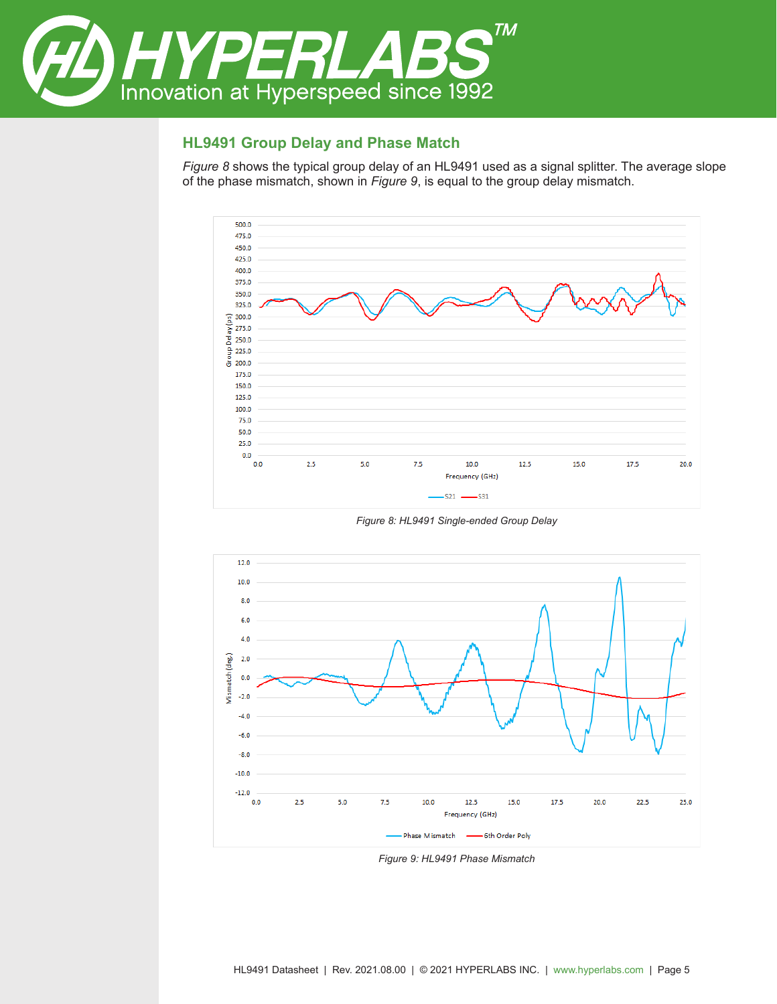

# **HL9491 Group Delay and Phase Match**

*Figure 8* shows the typical group delay of an HL9491 used as a signal splitter. The average slope of the phase mismatch, shown in *Figure 9*, is equal to the group delay mismatch.



*Figure 8: HL9491 Single-ended Group Delay*



*Figure 9: HL9491 Phase Mismatch*